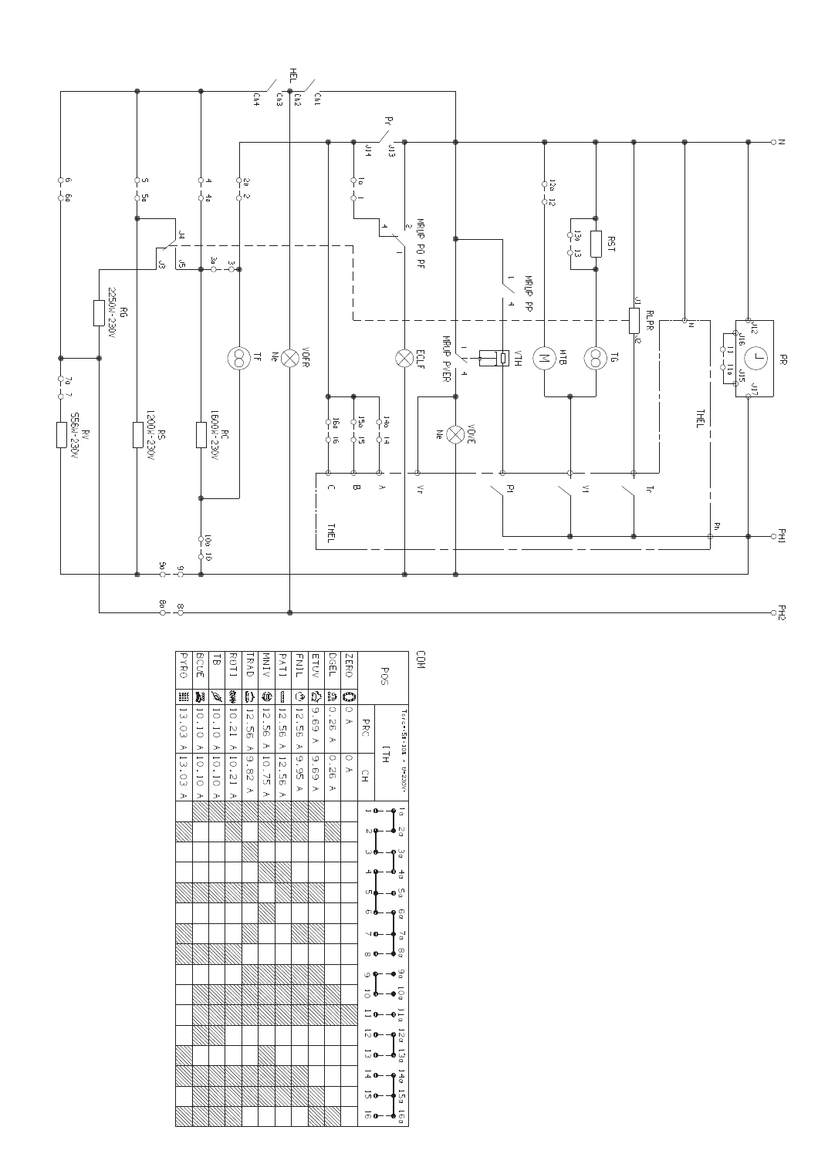

| <b>PYRO</b>                   |                                                      | $\vec{a}$                                         |                                 |                                                 |                               |                                            |                                     |                                 |                                           |                                     |                 |               |                                      | <b>GOM</b> |
|-------------------------------|------------------------------------------------------|---------------------------------------------------|---------------------------------|-------------------------------------------------|-------------------------------|--------------------------------------------|-------------------------------------|---------------------------------|-------------------------------------------|-------------------------------------|-----------------|---------------|--------------------------------------|------------|
|                               | <b>BCUE</b>                                          |                                                   | ROT <sub>1</sub>                | <b>RAD</b>                                      | NINN<br><                     | PATI                                       | <b>HAIL</b>                         | ETUV                            | DGEL                                      | <b>IZERO</b>                        |                 | <b>POS</b>    |                                      |            |
| 鼺                             | M                                                    | $\widehat{\mathbf{G}}_{\mathbf{g}}$               | \$                              | Ø                                               | ₾                             | O                                          | ٦                                   | $\overline{v}$                  | 89                                        | $\overline{\mathbb{O}}$             |                 |               |                                      |            |
| $\frac{1}{2}$<br>C)<br>$\geq$ | $\frac{1}{2}$<br>$\overline{\circ}$<br>$\geq$        | $\overline{10}$ .<br>$\overline{\circ}$<br>$\geq$ | $\frac{1}{2}$<br>$\overline{C}$ | $\overline{5}$<br><u>ମ</u><br>$\geq$            | $\overline{5}$<br>ς<br>$\geq$ | $\overline{c}$<br>SS<br>S<br>$\Rightarrow$ | $-15$ .<br>n<br>O<br>$\geq$         | $\omega$<br>89<br>$\geq$        | $\circ$<br>$\frac{1}{2}$<br>$\rightarrow$ | $\overline{\circ}$<br>$\Rightarrow$ | <b>PRC</b>      |               | $T$ orc=-58 +10%                     |            |
| $\frac{1}{2}$<br>C)<br>$\geq$ | $\frac{1}{\sqrt{2}}$<br>$\overline{\circ}$<br>$\geq$ | 10.10<br>$rac{1}{\sqrt{2}}$                       | A 10.21<br>$\geq$               | $\frac{1}{9}$<br>$\frac{8}{2}$<br>$\Rightarrow$ | S)<br>$\geq$                  | $\vec{z}$<br>S<br>S<br>$\Rightarrow$       | $\overline{\omega}$<br>9g<br>$\geq$ | $\omega$<br>89<br>$\Rightarrow$ | $\circ$<br>26<br>$\geq$                   | $\circ$<br>$\Rightarrow$            | 오               | $\frac{1}{1}$ | $\hat{\textbf{r}}$<br>U=230V-        |            |
|                               |                                                      |                                                   |                                 |                                                 |                               |                                            |                                     |                                 |                                           |                                     | $-0$            |               | ρŢ                                   |            |
|                               |                                                      |                                                   |                                 |                                                 |                               |                                            |                                     |                                 |                                           |                                     |                 |               | δQ                                   |            |
|                               |                                                      |                                                   |                                 |                                                 |                               |                                            |                                     |                                 |                                           |                                     | ພα              |               | یا                                   |            |
|                               |                                                      |                                                   |                                 |                                                 |                               |                                            |                                     |                                 |                                           |                                     | 4۵              |               | 4 <sub>0</sub>                       |            |
|                               |                                                      |                                                   |                                 |                                                 |                               |                                            |                                     |                                 |                                           |                                     | ഗക              |               | $\mathbf{e}^{\mathfrak{a}}_{\alpha}$ |            |
|                               |                                                      |                                                   |                                 |                                                 |                               |                                            |                                     |                                 |                                           |                                     | തക              |               | 0o                                   |            |
|                               |                                                      |                                                   |                                 |                                                 |                               |                                            |                                     |                                 |                                           |                                     | JФ              |               | $\sim$                               |            |
|                               |                                                      |                                                   |                                 |                                                 |                               |                                            |                                     |                                 |                                           |                                     | ∞ O             |               | ρg                                   |            |
|                               |                                                      |                                                   |                                 |                                                 |                               |                                            |                                     |                                 |                                           |                                     | $\circ$ $\circ$ |               | $\mathbf{0}^{\omega}_{\alpha}$       |            |
|                               |                                                      |                                                   |                                 |                                                 |                               |                                            |                                     |                                 |                                           |                                     | ై ∲             |               | īοα                                  |            |
|                               |                                                      |                                                   |                                 |                                                 |                               |                                            |                                     |                                 |                                           |                                     | $\equiv$ 0      |               | $\frac{1}{\alpha}$                   |            |
|                               |                                                      |                                                   |                                 |                                                 |                               |                                            |                                     |                                 |                                           |                                     | ៑๛              |               | $\frac{5}{9}$                        |            |
|                               |                                                      |                                                   |                                 |                                                 |                               |                                            |                                     |                                 |                                           |                                     | ದ o             |               | Ξã                                   |            |
|                               |                                                      |                                                   |                                 |                                                 |                               |                                            |                                     |                                 |                                           |                                     |                 | - –ه –        | 140                                  |            |
|                               |                                                      |                                                   |                                 |                                                 |                               |                                            |                                     |                                 |                                           |                                     | ெ⊙              |               | l<br>Sa                              |            |
|                               |                                                      |                                                   |                                 |                                                 |                               |                                            |                                     |                                 |                                           |                                     |                 | ത——<br>Ф      | iéa                                  |            |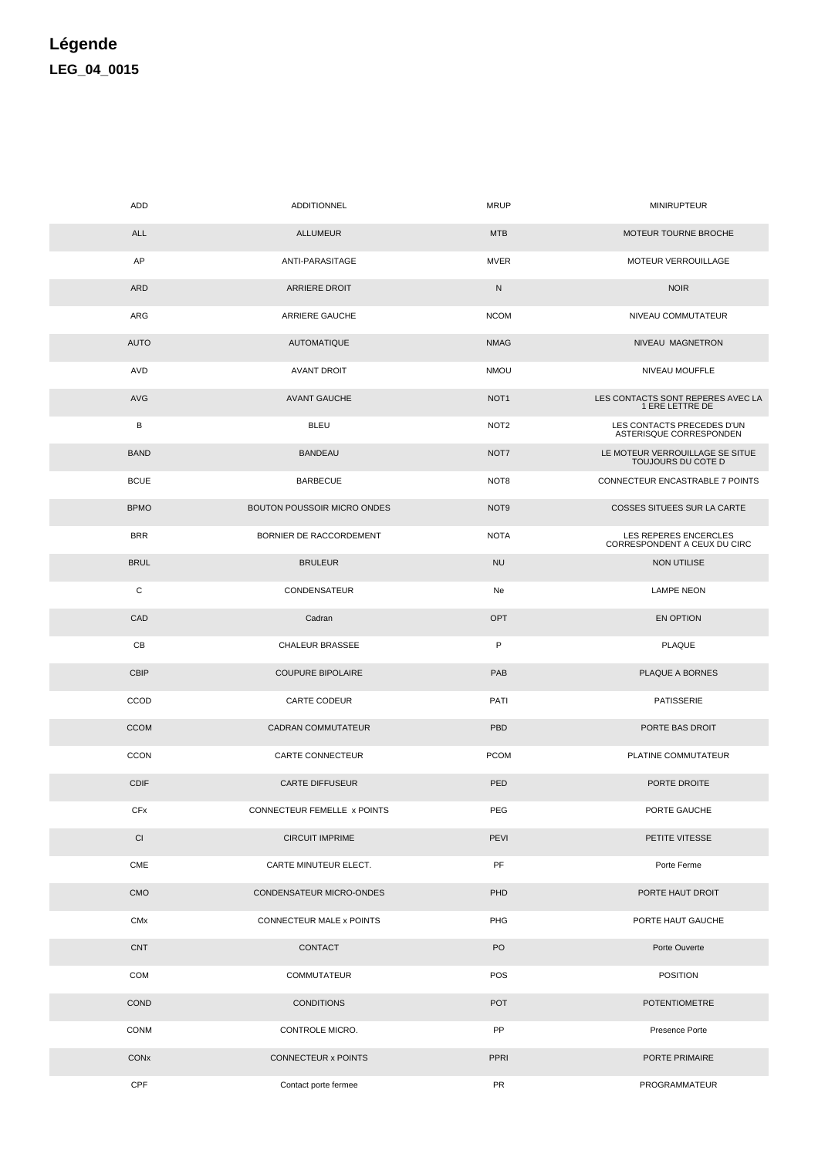## Légende LEG\_04\_0015

| ADD                   | ADDITIONNEL                        | MRUP             | <b>MINIRUPTEUR</b>                                    |
|-----------------------|------------------------------------|------------------|-------------------------------------------------------|
| <b>ALL</b>            | <b>ALLUMEUR</b>                    | <b>MTB</b>       | MOTEUR TOURNE BROCHE                                  |
| AP                    | ANTI-PARASITAGE                    | <b>MVER</b>      | MOTEUR VERROUILLAGE                                   |
| ARD                   | <b>ARRIERE DROIT</b>               | N                | <b>NOIR</b>                                           |
| ARG                   | ARRIERE GAUCHE                     | <b>NCOM</b>      | NIVEAU COMMUTATEUR                                    |
| <b>AUTO</b>           | <b>AUTOMATIQUE</b>                 | <b>NMAG</b>      | NIVEAU MAGNETRON                                      |
| AVD                   | <b>AVANT DROIT</b>                 | <b>NMOU</b>      | NIVEAU MOUFFLE                                        |
| <b>AVG</b>            | <b>AVANT GAUCHE</b>                | NOT <sub>1</sub> | LES CONTACTS SONT REPERES AVEC LA<br>1 ERE LETTRE DE  |
| В                     | <b>BLEU</b>                        | NOT <sub>2</sub> | LES CONTACTS PRECEDES D'UN<br>ASTERISQUE CORRESPONDEN |
| <b>BAND</b>           | <b>BANDEAU</b>                     | NOT7             | LE MOTEUR VERROUILLAGE SE SITUE<br>TOUJOURS DU COTE D |
| <b>BCUE</b>           | <b>BARBECUE</b>                    | NOT8             | CONNECTEUR ENCASTRABLE 7 POINTS                       |
| <b>BPMO</b>           | <b>BOUTON POUSSOIR MICRO ONDES</b> | NOT <sub>9</sub> | <b>COSSES SITUEES SUR LA CARTE</b>                    |
| <b>BRR</b>            | BORNIER DE RACCORDEMENT            | <b>NOTA</b>      | LES REPERES ENCERCLES<br>CORRESPONDENT A CEUX DU CIRC |
| <b>BRUL</b>           | <b>BRULEUR</b>                     | <b>NU</b>        | <b>NON UTILISE</b>                                    |
| С                     | CONDENSATEUR                       | Ne               | <b>LAMPE NEON</b>                                     |
| CAD                   | Cadran                             | OPT              | EN OPTION                                             |
| CВ                    | CHALEUR BRASSEE                    | P                | PLAQUE                                                |
| <b>CBIP</b>           | <b>COUPURE BIPOLAIRE</b>           | PAB              | PLAQUE A BORNES                                       |
| CCOD                  | CARTE CODEUR                       | PATI             | PATISSERIE                                            |
| <b>CCOM</b>           | CADRAN COMMUTATEUR                 | PBD              | PORTE BAS DROIT                                       |
| <b>CCON</b>           | CARTE CONNECTEUR                   | <b>PCOM</b>      | PLATINE COMMUTATEUR                                   |
| <b>CDIF</b>           | <b>CARTE DIFFUSEUR</b>             | PED              | PORTE DROITE                                          |
| <b>CFx</b>            | CONNECTEUR FEMELLE x POINTS        | PEG              | PORTE GAUCHE                                          |
| CI                    | <b>CIRCUIT IMPRIME</b>             | PEVI             | PETITE VITESSE                                        |
| CME                   | CARTE MINUTEUR ELECT.              | PF               | Porte Ferme                                           |
| CMO                   | CONDENSATEUR MICRO-ONDES           | PHD              | PORTE HAUT DROIT                                      |
| <b>CM<sub>x</sub></b> | CONNECTEUR MALE x POINTS           | PHG              | PORTE HAUT GAUCHE                                     |
| <b>CNT</b>            | CONTACT                            | PO               | Porte Ouverte                                         |
| COM                   | <b>COMMUTATEUR</b>                 | POS              | <b>POSITION</b>                                       |
| COND                  | <b>CONDITIONS</b>                  | <b>POT</b>       | <b>POTENTIOMETRE</b>                                  |
| CONM                  | CONTROLE MICRO.                    | PP               | Presence Porte                                        |
| CONx                  | CONNECTEUR x POINTS                | PPRI             | PORTE PRIMAIRE                                        |
| CPF                   | Contact porte fermee               | PR               | PROGRAMMATEUR                                         |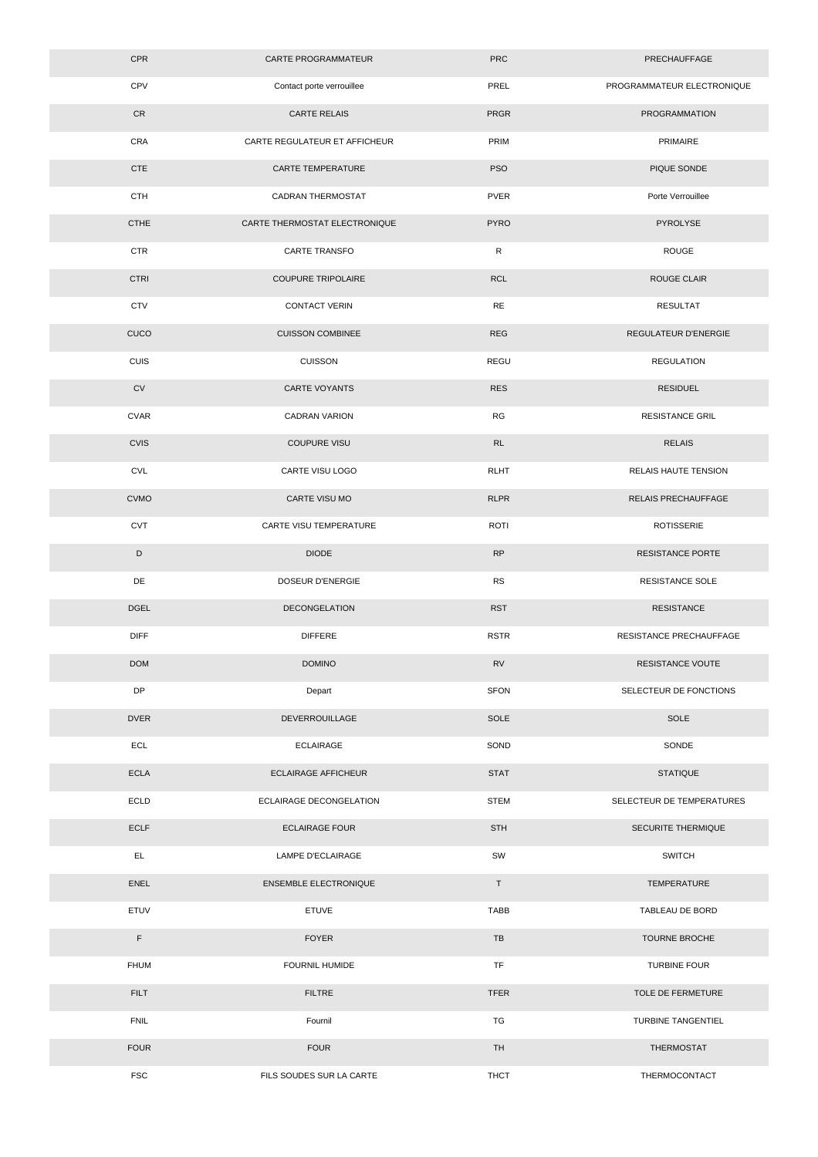| CPR         | CARTE PROGRAMMATEUR           | <b>PRC</b>   | PRECHAUFFAGE                |
|-------------|-------------------------------|--------------|-----------------------------|
| CPV         | Contact porte verrouillee     | PREL         | PROGRAMMATEUR ELECTRONIQUE  |
| CR          | <b>CARTE RELAIS</b>           | <b>PRGR</b>  | PROGRAMMATION               |
| CRA         | CARTE REGULATEUR ET AFFICHEUR | PRIM         | PRIMAIRE                    |
| <b>CTE</b>  | <b>CARTE TEMPERATURE</b>      | <b>PSO</b>   | PIQUE SONDE                 |
| <b>CTH</b>  | <b>CADRAN THERMOSTAT</b>      | <b>PVER</b>  | Porte Verrouillee           |
| <b>CTHE</b> | CARTE THERMOSTAT ELECTRONIQUE | <b>PYRO</b>  | PYROLYSE                    |
| <b>CTR</b>  | <b>CARTE TRANSFO</b>          | $\mathsf{R}$ | <b>ROUGE</b>                |
| <b>CTRI</b> | <b>COUPURE TRIPOLAIRE</b>     | <b>RCL</b>   | <b>ROUGE CLAIR</b>          |
| <b>CTV</b>  | <b>CONTACT VERIN</b>          | $\sf RE$     | <b>RESULTAT</b>             |
| CUCO        | <b>CUISSON COMBINEE</b>       | <b>REG</b>   | <b>REGULATEUR D'ENERGIE</b> |
| CUIS        | <b>CUISSON</b>                | REGU         | <b>REGULATION</b>           |
| CV          | <b>CARTE VOYANTS</b>          | <b>RES</b>   | <b>RESIDUEL</b>             |
| <b>CVAR</b> | <b>CADRAN VARION</b>          | RG           | <b>RESISTANCE GRIL</b>      |
| <b>CVIS</b> | <b>COUPURE VISU</b>           | RL           | <b>RELAIS</b>               |
| <b>CVL</b>  | CARTE VISU LOGO               | <b>RLHT</b>  | RELAIS HAUTE TENSION        |
| <b>CVMO</b> | CARTE VISU MO                 | <b>RLPR</b>  | RELAIS PRECHAUFFAGE         |
| <b>CVT</b>  | CARTE VISU TEMPERATURE        | <b>ROTI</b>  | <b>ROTISSERIE</b>           |
| D           | <b>DIODE</b>                  | RP           | <b>RESISTANCE PORTE</b>     |
| DE          | DOSEUR D'ENERGIE              | <b>RS</b>    | <b>RESISTANCE SOLE</b>      |
| <b>DGEL</b> | <b>DECONGELATION</b>          | <b>RST</b>   | <b>RESISTANCE</b>           |
| <b>DIFF</b> | <b>DIFFERE</b>                | <b>RSTR</b>  | RESISTANCE PRECHAUFFAGE     |
| <b>DOM</b>  | <b>DOMINO</b>                 | <b>RV</b>    | RESISTANCE VOUTE            |
| DP          | Depart                        | <b>SFON</b>  | SELECTEUR DE FONCTIONS      |
| <b>DVER</b> | DEVERROUILLAGE                | SOLE         | SOLE                        |
| ECL         | <b>ECLAIRAGE</b>              | SOND         | SONDE                       |
| <b>ECLA</b> | <b>ECLAIRAGE AFFICHEUR</b>    | <b>STAT</b>  | <b>STATIQUE</b>             |
| ECLD        | ECLAIRAGE DECONGELATION       | <b>STEM</b>  | SELECTEUR DE TEMPERATURES   |
| <b>ECLF</b> | <b>ECLAIRAGE FOUR</b>         | <b>STH</b>   | SECURITE THERMIQUE          |
| EL.         | LAMPE D'ECLAIRAGE             | SW           | <b>SWITCH</b>               |
| <b>ENEL</b> | <b>ENSEMBLE ELECTRONIQUE</b>  | $\mathsf T$  | <b>TEMPERATURE</b>          |
| ETUV        | <b>ETUVE</b>                  | TABB         | TABLEAU DE BORD             |
| $\mathsf F$ | <b>FOYER</b>                  | TB           | <b>TOURNE BROCHE</b>        |
| <b>FHUM</b> | FOURNIL HUMIDE                | TF           | <b>TURBINE FOUR</b>         |
| <b>FILT</b> | <b>FILTRE</b>                 | <b>TFER</b>  | TOLE DE FERMETURE           |
| <b>FNIL</b> | Fournil                       | TG           | TURBINE TANGENTIEL          |
| <b>FOUR</b> | <b>FOUR</b>                   | TH           | THERMOSTAT                  |
| <b>FSC</b>  | FILS SOUDES SUR LA CARTE      | <b>THCT</b>  | THERMOCONTACT               |